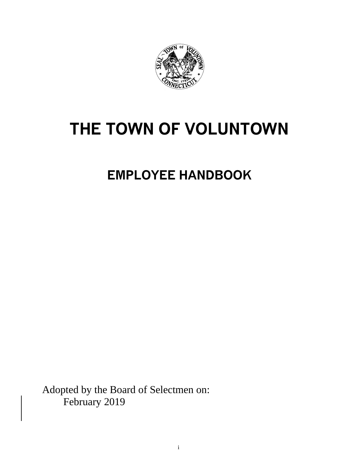

# **THE TOWN OF VOLUNTOWN**

**EMPLOYEE HANDBOOK**

Adopted by the Board of Selectmen on: February 2019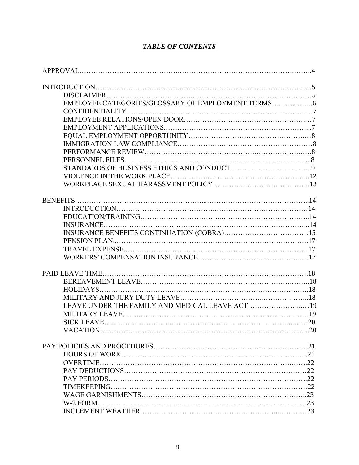## *TABLE OF CONTENTS*

| <b>VACATION</b> |  |
|-----------------|--|
|                 |  |
|                 |  |
|                 |  |
|                 |  |
|                 |  |
|                 |  |
|                 |  |
|                 |  |
| W-2 FORM        |  |
|                 |  |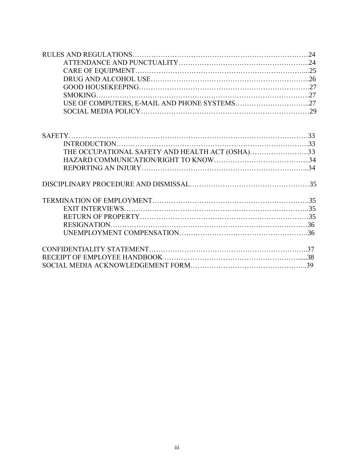| THE OCCUPATIONAL SAFETY AND HEALTH ACT (OSHA)33 |  |
|-------------------------------------------------|--|
|                                                 |  |
|                                                 |  |
|                                                 |  |
|                                                 |  |
|                                                 |  |
|                                                 |  |
|                                                 |  |
|                                                 |  |
|                                                 |  |
|                                                 |  |
|                                                 |  |
|                                                 |  |
|                                                 |  |
|                                                 |  |
|                                                 |  |
|                                                 |  |
|                                                 |  |
|                                                 |  |
|                                                 |  |
|                                                 |  |
|                                                 |  |
|                                                 |  |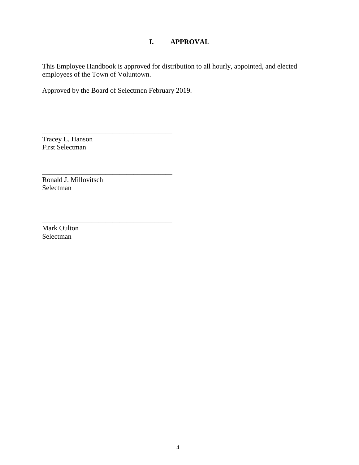## **I. APPROVAL**

This Employee Handbook is approved for distribution to all hourly, appointed, and elected employees of the Town of Voluntown.

Approved by the Board of Selectmen February 2019.

\_\_\_\_\_\_\_\_\_\_\_\_\_\_\_\_\_\_\_\_\_\_\_\_\_\_\_\_\_\_\_\_\_\_\_\_\_

\_\_\_\_\_\_\_\_\_\_\_\_\_\_\_\_\_\_\_\_\_\_\_\_\_\_\_\_\_\_\_\_\_\_\_\_\_

\_\_\_\_\_\_\_\_\_\_\_\_\_\_\_\_\_\_\_\_\_\_\_\_\_\_\_\_\_\_\_\_\_\_\_\_\_

Tracey L. Hanson First Selectman

Ronald J. Millovitsch Selectman

Mark Oulton Selectman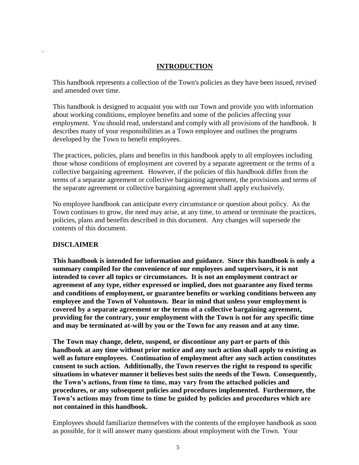#### **INTRODUCTION**

This handbook represents a collection of the Town's policies as they have been issued, revised and amended over time.

This handbook is designed to acquaint you with our Town and provide you with information about working conditions, employee benefits and some of the policies affecting your employment. You should read, understand and comply with all provisions of the handbook. It describes many of your responsibilities as a Town employee and outlines the programs developed by the Town to benefit employees.

The practices, policies, plans and benefits in this handbook apply to all employees including those whose conditions of employment are covered by a separate agreement or the terms of a collective bargaining agreement. However, if the policies of this handbook differ from the terms of a separate agreement or collective bargaining agreement, the provisions and terms of the separate agreement or collective bargaining agreement shall apply exclusively.

No employee handbook can anticipate every circumstance or question about policy. As the Town continues to grow, the need may arise, at any time, to amend or terminate the practices, policies, plans and benefits described in this document. Any changes will supersede the contents of this document.

#### **DISCLAIMER**

.

**This handbook is intended for information and guidance. Since this handbook is only a summary compiled for the convenience of our employees and supervisors, it is not intended to cover all topics or circumstances. It is not an employment contract or agreement of any type, either expressed or implied, does not guarantee any fixed terms and conditions of employment, or guarantee benefits or working conditions between any employee and the Town of Voluntown. Bear in mind that unless your employment is covered by a separate agreement or the terms of a collective bargaining agreement, providing for the contrary, your employment with the Town is not for any specific time and may be terminated at-will by you or the Town for any reason and at any time.**

**The Town may change, delete, suspend, or discontinue any part or parts of this handbook at any time without prior notice and any such action shall apply to existing as well as future employees. Continuation of employment after any such action constitutes consent to such action. Additionally, the Town reserves the right to respond to specific situations in whatever manner it believes best suits the needs of the Town. Consequently, the Town's actions, from time to time, may vary from the attached policies and procedures, or any subsequent policies and procedures implemented. Furthermore, the Town's actions may from time to time be guided by policies and procedures which are not contained in this handbook.**

Employees should familiarize themselves with the contents of the employee handbook as soon as possible, for it will answer many questions about employment with the Town. Your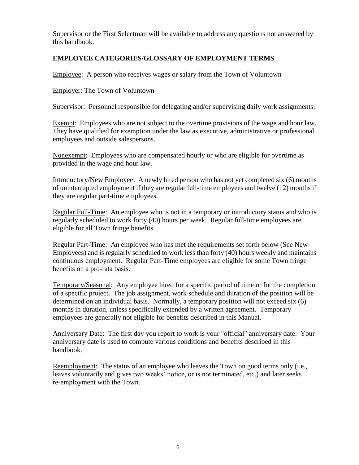Supervisor or the First Selectman will be available to address any questions not answered by this handbook.

## **EMPLOYEE CATEGORIES/GLOSSARY OF EMPLOYMENT TERMS**

Employee: A person who receives wages or salary from the Town of Voluntown

Employer: The Town of Voluntown

Supervisor: Personnel responsible for delegating and/or supervising daily work assignments.

Exempt: Employees who are not subject to the overtime provisions of the wage and hour law. They have qualified for exemption under the law as executive, administrative or professional employees and outside salespersons.

Nonexempt: Employees who are compensated hourly or who are eligible for overtime as provided in the wage and hour law.

Introductory/New Employee: A newly hired person who has not yet completed six (6) months of uninterrupted employment if they are regular full-time employees and twelve (12) months if they are regular part-time employees.

Regular Full-Time: An employee who is not in a temporary or introductory status and who is regularly scheduled to work forty (40) hours per week. Regular full-time employees are eligible for all Town fringe benefits.

Regular Part-Time: An employee who has met the requirements set forth below (See New Employees) and is regularly scheduled to work less than forty (40) hours weekly and maintains continuous employment. Regular Part-Time employees are eligible for some Town fringe benefits on a pro-rata basis.

Temporary/Seasonal: Any employee hired for a specific period of time or for the completion of a specific project. The job assignment, work schedule and duration of the position will be determined on an individual basis. Normally, a temporary position will not exceed six (6) months in duration, unless specifically extended by a written agreement. Temporary employees are generally not eligible for benefits described in this Manual.

Anniversary Date: The first day you report to work is your "official" anniversary date. Your anniversary date is used to compute various conditions and benefits described in this handbook.

Reemployment: The status of an employee who leaves the Town on good terms only (i.e., leaves voluntarily and gives two weeks' notice, or is not terminated, etc.) and later seeks re-employment with the Town.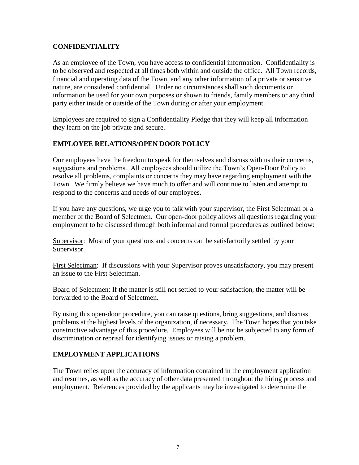## **CONFIDENTIALITY**

As an employee of the Town, you have access to confidential information. Confidentiality is to be observed and respected at all times both within and outside the office. All Town records, financial and operating data of the Town, and any other information of a private or sensitive nature, are considered confidential. Under no circumstances shall such documents or information be used for your own purposes or shown to friends, family members or any third party either inside or outside of the Town during or after your employment.

Employees are required to sign a Confidentiality Pledge that they will keep all information they learn on the job private and secure.

## **EMPLOYEE RELATIONS/OPEN DOOR POLICY**

Our employees have the freedom to speak for themselves and discuss with us their concerns, suggestions and problems. All employees should utilize the Town's Open-Door Policy to resolve all problems, complaints or concerns they may have regarding employment with the Town. We firmly believe we have much to offer and will continue to listen and attempt to respond to the concerns and needs of our employees.

If you have any questions, we urge you to talk with your supervisor, the First Selectman or a member of the Board of Selectmen. Our open-door policy allows all questions regarding your employment to be discussed through both informal and formal procedures as outlined below:

Supervisor: Most of your questions and concerns can be satisfactorily settled by your Supervisor.

First Selectman: If discussions with your Supervisor proves unsatisfactory, you may present an issue to the First Selectman.

Board of Selectmen: If the matter is still not settled to your satisfaction, the matter will be forwarded to the Board of Selectmen.

By using this open-door procedure, you can raise questions, bring suggestions, and discuss problems at the highest levels of the organization, if necessary. The Town hopes that you take constructive advantage of this procedure. Employees will be not be subjected to any form of discrimination or reprisal for identifying issues or raising a problem.

## **EMPLOYMENT APPLICATIONS**

The Town relies upon the accuracy of information contained in the employment application and resumes, as well as the accuracy of other data presented throughout the hiring process and employment. References provided by the applicants may be investigated to determine the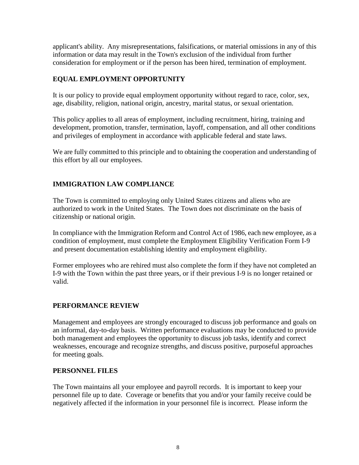applicant's ability. Any misrepresentations, falsifications, or material omissions in any of this information or data may result in the Town's exclusion of the individual from further consideration for employment or if the person has been hired, termination of employment.

## **EQUAL EMPLOYMENT OPPORTUNITY**

It is our policy to provide equal employment opportunity without regard to race, color, sex, age, disability, religion, national origin, ancestry, marital status, or sexual orientation.

This policy applies to all areas of employment, including recruitment, hiring, training and development, promotion, transfer, termination, layoff, compensation, and all other conditions and privileges of employment in accordance with applicable federal and state laws.

We are fully committed to this principle and to obtaining the cooperation and understanding of this effort by all our employees.

## **IMMIGRATION LAW COMPLIANCE**

The Town is committed to employing only United States citizens and aliens who are authorized to work in the United States. The Town does not discriminate on the basis of citizenship or national origin.

In compliance with the Immigration Reform and Control Act of 1986, each new employee, as a condition of employment, must complete the Employment Eligibility Verification Form I-9 and present documentation establishing identity and employment eligibility.

Former employees who are rehired must also complete the form if they have not completed an I-9 with the Town within the past three years, or if their previous I-9 is no longer retained or valid.

## **PERFORMANCE REVIEW**

Management and employees are strongly encouraged to discuss job performance and goals on an informal, day-to-day basis. Written performance evaluations may be conducted to provide both management and employees the opportunity to discuss job tasks, identify and correct weaknesses, encourage and recognize strengths, and discuss positive, purposeful approaches for meeting goals.

## **PERSONNEL FILES**

The Town maintains all your employee and payroll records. It is important to keep your personnel file up to date. Coverage or benefits that you and/or your family receive could be negatively affected if the information in your personnel file is incorrect. Please inform the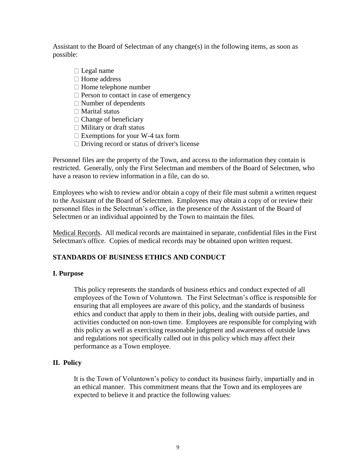Assistant to the Board of Selectman of any change(s) in the following items, as soon as possible:

- $\Box$  Legal name □ Home address  $\Box$  Home telephone number  $\Box$  Person to contact in case of emergency Number of dependents  $\Box$  Marital status  $\Box$  Change of beneficiary  $\Box$  Military or draft status  $\Box$  Exemptions for your W-4 tax form
- $\Box$  Driving record or status of driver's license

Personnel files are the property of the Town, and access to the information they contain is restricted. Generally, only the First Selectman and members of the Board of Selectmen, who have a reason to review information in a file, can do so.

Employees who wish to review and/or obtain a copy of their file must submit a written request to the Assistant of the Board of Selectmen. Employees may obtain a copy of or review their personnel files in the Selectman's office, in the presence of the Assistant of the Board of Selectmen or an individual appointed by the Town to maintain the files.

Medical Records. All medical records are maintained in separate, confidential files in the First Selectman's office. Copies of medical records may be obtained upon written request.

## **STANDARDS OF BUSINESS ETHICS AND CONDUCT**

## **I. Purpose**

This policy represents the standards of business ethics and conduct expected of all employees of the Town of Voluntown. The First Selectman's office is responsible for ensuring that all employees are aware of this policy, and the standards of business ethics and conduct that apply to them in their jobs, dealing with outside parties, and activities conducted on non-town time. Employees are responsible for complying with this policy as well as exercising reasonable judgment and awareness of outside laws and regulations not specifically called out in this policy which may affect their performance as a Town employee.

## **II. Policy**

It is the Town of Voluntown's policy to conduct its business fairly, impartially and in an ethical manner. This commitment means that the Town and its employees are expected to believe it and practice the following values: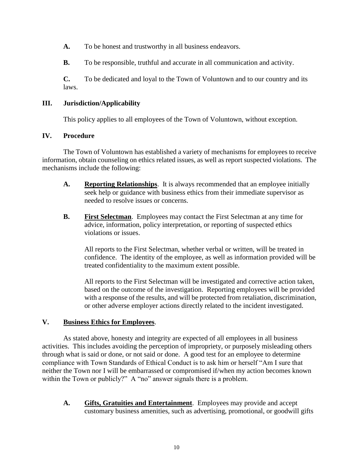**A.** To be honest and trustworthy in all business endeavors.

**B.** To be responsible, truthful and accurate in all communication and activity.

**C.** To be dedicated and loyal to the Town of Voluntown and to our country and its laws.

#### **III. Jurisdiction/Applicability**

This policy applies to all employees of the Town of Voluntown, without exception.

#### **IV. Procedure**

The Town of Voluntown has established a variety of mechanisms for employees to receive information, obtain counseling on ethics related issues, as well as report suspected violations. The mechanisms include the following:

- **A. Reporting Relationships**. It is always recommended that an employee initially seek help or guidance with business ethics from their immediate supervisor as needed to resolve issues or concerns.
- **B. First Selectman**. Employees may contact the First Selectman at any time for advice, information, policy interpretation, or reporting of suspected ethics violations or issues.

All reports to the First Selectman, whether verbal or written, will be treated in confidence. The identity of the employee, as well as information provided will be treated confidentiality to the maximum extent possible.

All reports to the First Selectman will be investigated and corrective action taken, based on the outcome of the investigation. Reporting employees will be provided with a response of the results, and will be protected from retaliation, discrimination, or other adverse employer actions directly related to the incident investigated.

#### **V. Business Ethics for Employees**.

As stated above, honesty and integrity are expected of all employees in all business activities. This includes avoiding the perception of impropriety, or purposely misleading others through what is said or done, or not said or done. A good test for an employee to determine compliance with Town Standards of Ethical Conduct is to ask him or herself "Am I sure that neither the Town nor I will be embarrassed or compromised if/when my action becomes known within the Town or publicly?" A "no" answer signals there is a problem.

**A. Gifts, Gratuities and Entertainment**. Employees may provide and accept customary business amenities, such as advertising, promotional, or goodwill gifts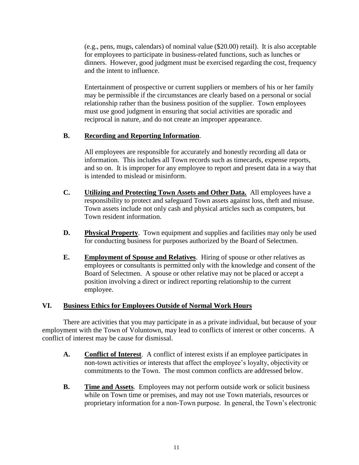(e.g., pens, mugs, calendars) of nominal value (\$20.00) retail). It is also acceptable for employees to participate in business-related functions, such as lunches or dinners. However, good judgment must be exercised regarding the cost, frequency and the intent to influence.

Entertainment of prospective or current suppliers or members of his or her family may be permissible if the circumstances are clearly based on a personal or social relationship rather than the business position of the supplier. Town employees must use good judgment in ensuring that social activities are sporadic and reciprocal in nature, and do not create an improper appearance.

## **B. Recording and Reporting Information**.

All employees are responsible for accurately and honestly recording all data or information. This includes all Town records such as timecards, expense reports, and so on. It is improper for any employee to report and present data in a way that is intended to mislead or misinform.

- **C. Utilizing and Protecting Town Assets and Other Data.** All employees have a responsibility to protect and safeguard Town assets against loss, theft and misuse. Town assets include not only cash and physical articles such as computers, but Town resident information.
- **D. Physical Property**. Town equipment and supplies and facilities may only be used for conducting business for purposes authorized by the Board of Selectmen.
- **E. Employment of Spouse and Relatives**. Hiring of spouse or other relatives as employees or consultants is permitted only with the knowledge and consent of the Board of Selectmen. A spouse or other relative may not be placed or accept a position involving a direct or indirect reporting relationship to the current employee.

#### **VI. Business Ethics for Employees Outside of Normal Work Hours**

There are activities that you may participate in as a private individual, but because of your employment with the Town of Voluntown, may lead to conflicts of interest or other concerns. A conflict of interest may be cause for dismissal.

- **A. Conflict of Interest**. A conflict of interest exists if an employee participates in non-town activities or interests that affect the employee's loyalty, objectivity or commitments to the Town. The most common conflicts are addressed below.
- **B. Time and Assets**. Employees may not perform outside work or solicit business while on Town time or premises, and may not use Town materials, resources or proprietary information for a non-Town purpose. In general, the Town's electronic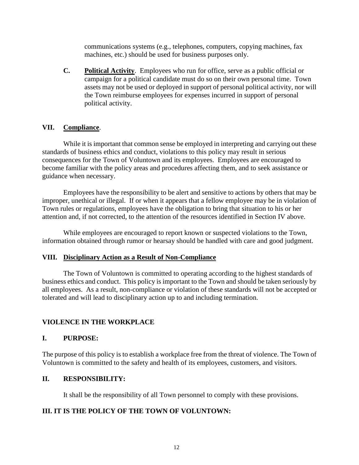communications systems (e.g., telephones, computers, copying machines, fax machines, etc.) should be used for business purposes only.

**C. Political Activity**. Employees who run for office, serve as a public official or campaign for a political candidate must do so on their own personal time. Town assets may not be used or deployed in support of personal political activity, nor will the Town reimburse employees for expenses incurred in support of personal political activity.

#### **VII. Compliance**.

 While it is important that common sense be employed in interpreting and carrying out these standards of business ethics and conduct, violations to this policy may result in serious consequences for the Town of Voluntown and its employees. Employees are encouraged to become familiar with the policy areas and procedures affecting them, and to seek assistance or guidance when necessary.

Employees have the responsibility to be alert and sensitive to actions by others that may be improper, unethical or illegal. If or when it appears that a fellow employee may be in violation of Town rules or regulations, employees have the obligation to bring that situation to his or her attention and, if not corrected, to the attention of the resources identified in Section IV above.

While employees are encouraged to report known or suspected violations to the Town, information obtained through rumor or hearsay should be handled with care and good judgment.

#### **VIII. Disciplinary Action as a Result of Non-Compliance**

The Town of Voluntown is committed to operating according to the highest standards of business ethics and conduct. This policy is important to the Town and should be taken seriously by all employees. As a result, non-compliance or violation of these standards will not be accepted or tolerated and will lead to disciplinary action up to and including termination.

#### **VIOLENCE IN THE WORKPLACE**

#### **I. PURPOSE:**

The purpose of this policy is to establish a workplace free from the threat of violence. The Town of Voluntown is committed to the safety and health of its employees, customers, and visitors.

#### **II. RESPONSIBILITY:**

It shall be the responsibility of all Town personnel to comply with these provisions.

#### **III. IT IS THE POLICY OF THE TOWN OF VOLUNTOWN:**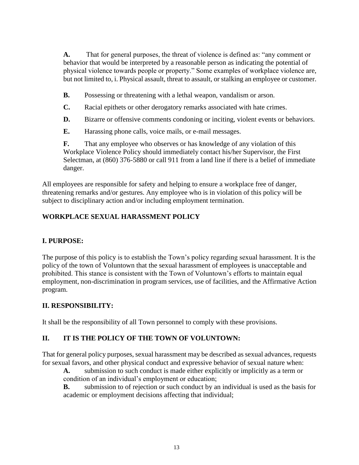**A.** That for general purposes, the threat of violence is defined as: "any comment or behavior that would be interpreted by a reasonable person as indicating the potential of physical violence towards people or property." Some examples of workplace violence are, but not limited to, i. Physical assault, threat to assault, or stalking an employee or customer.

**B.** Possessing or threatening with a lethal weapon, vandalism or arson.

- **C.** Racial epithets or other derogatory remarks associated with hate crimes.
- **D.** Bizarre or offensive comments condoning or inciting, violent events or behaviors.
- **E.** Harassing phone calls, voice mails, or e-mail messages.

**F.** That any employee who observes or has knowledge of any violation of this Workplace Violence Policy should immediately contact his/her Supervisor, the First Selectman, at (860) 376-5880 or call 911 from a land line if there is a belief of immediate danger.

All employees are responsible for safety and helping to ensure a workplace free of danger, threatening remarks and/or gestures. Any employee who is in violation of this policy will be subject to disciplinary action and/or including employment termination.

## **WORKPLACE SEXUAL HARASSMENT POLICY**

## **I. PURPOSE:**

The purpose of this policy is to establish the Town's policy regarding sexual harassment. It is the policy of the town of Voluntown that the sexual harassment of employees is unacceptable and prohibited. This stance is consistent with the Town of Voluntown's efforts to maintain equal employment, non-discrimination in program services, use of facilities, and the Affirmative Action program.

## **II. RESPONSIBILITY:**

It shall be the responsibility of all Town personnel to comply with these provisions.

## **II. IT IS THE POLICY OF THE TOWN OF VOLUNTOWN:**

That for general policy purposes, sexual harassment may be described as sexual advances, requests for sexual favors, and other physical conduct and expressive behavior of sexual nature when:

**A.** submission to such conduct is made either explicitly or implicitly as a term or condition of an individual's employment or education;

**B.** submission to of rejection or such conduct by an individual is used as the basis for academic or employment decisions affecting that individual;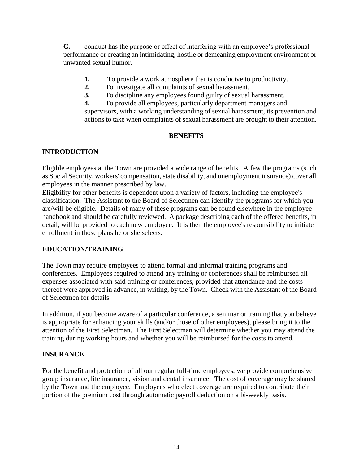**C.** conduct has the purpose or effect of interfering with an employee's professional performance or creating an intimidating, hostile or demeaning employment environment or unwanted sexual humor.

- **1.** To provide a work atmosphere that is conducive to productivity.
- **2.** To investigate all complaints of sexual harassment.
- **3.** To discipline any employees found guilty of sexual harassment.

**4.** To provide all employees, particularly department managers and supervisors, with a working understanding of sexual harassment, its prevention and actions to take when complaints of sexual harassment are brought to their attention.

## **BENEFITS**

## **INTRODUCTION**

Eligible employees at the Town are provided a wide range of benefits. A few the programs (such as Social Security, workers' compensation, state disability, and unemployment insurance) cover all employees in the manner prescribed by law.

Eligibility for other benefits is dependent upon a variety of factors, including the employee's classification. The Assistant to the Board of Selectmen can identify the programs for which you are/will be eligible. Details of many of these programs can be found elsewhere in the employee handbook and should be carefully reviewed. A package describing each of the offered benefits, in detail, will be provided to each new employee. It is then the employee's responsibility to initiate enrollment in those plans he or she selects.

## **EDUCATION/TRAINING**

The Town may require employees to attend formal and informal training programs and conferences. Employees required to attend any training or conferences shall be reimbursed all expenses associated with said training or conferences, provided that attendance and the costs thereof were approved in advance, in writing, by the Town. Check with the Assistant of the Board of Selectmen for details.

In addition, if you become aware of a particular conference, a seminar or training that you believe is appropriate for enhancing your skills (and/or those of other employees), please bring it to the attention of the First Selectman. The First Selectman will determine whether you may attend the training during working hours and whether you will be reimbursed for the costs to attend.

## **INSURANCE**

For the benefit and protection of all our regular full-time employees, we provide comprehensive group insurance, life insurance, vision and dental insurance. The cost of coverage may be shared by the Town and the employee. Employees who elect coverage are required to contribute their portion of the premium cost through automatic payroll deduction on a bi-weekly basis.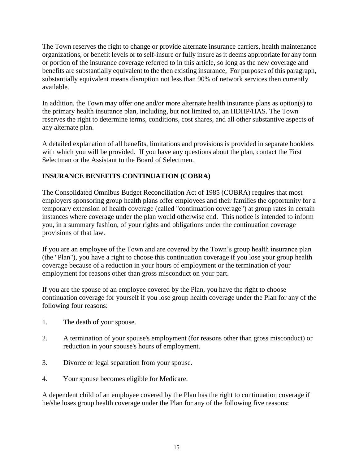The Town reserves the right to change or provide alternate insurance carriers, health maintenance organizations, or benefit levels or to self-insure or fully insure as it deems appropriate for any form or portion of the insurance coverage referred to in this article, so long as the new coverage and benefits are substantially equivalent to the then existing insurance, For purposes of this paragraph, substantially equivalent means disruption not less than 90% of network services then currently available.

In addition, the Town may offer one and/or more alternate health insurance plans as option(s) to the primary health insurance plan, including, but not limited to, an HDHP/HAS. The Town reserves the right to determine terms, conditions, cost shares, and all other substantive aspects of any alternate plan.

A detailed explanation of all benefits, limitations and provisions is provided in separate booklets with which you will be provided. If you have any questions about the plan, contact the First Selectman or the Assistant to the Board of Selectmen.

## **INSURANCE BENEFITS CONTINUATION (COBRA)**

The Consolidated Omnibus Budget Reconciliation Act of 1985 (COBRA) requires that most employers sponsoring group health plans offer employees and their families the opportunity for a temporary extension of health coverage (called "continuation coverage") at group rates in certain instances where coverage under the plan would otherwise end. This notice is intended to inform you, in a summary fashion, of your rights and obligations under the continuation coverage provisions of that law.

If you are an employee of the Town and are covered by the Town's group health insurance plan (the "Plan"), you have a right to choose this continuation coverage if you lose your group health coverage because of a reduction in your hours of employment or the termination of your employment for reasons other than gross misconduct on your part.

If you are the spouse of an employee covered by the Plan, you have the right to choose continuation coverage for yourself if you lose group health coverage under the Plan for any of the following four reasons:

- 1. The death of your spouse.
- 2. A termination of your spouse's employment (for reasons other than gross misconduct) or reduction in your spouse's hours of employment.
- 3. Divorce or legal separation from your spouse.
- 4. Your spouse becomes eligible for Medicare.

A dependent child of an employee covered by the Plan has the right to continuation coverage if he/she loses group health coverage under the Plan for any of the following five reasons: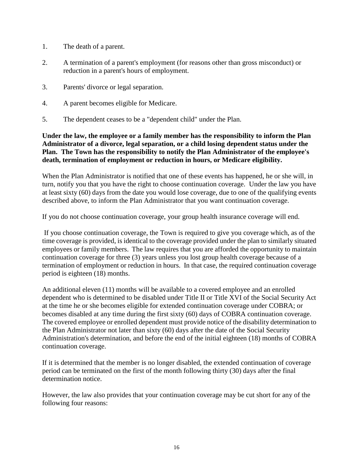- 1. The death of a parent.
- 2. A termination of a parent's employment (for reasons other than gross misconduct) or reduction in a parent's hours of employment.
- 3. Parents' divorce or legal separation.
- 4. A parent becomes eligible for Medicare.
- 5. The dependent ceases to be a "dependent child" under the Plan.

#### **Under the law, the employee or a family member has the responsibility to inform the Plan Administrator of a divorce, legal separation, or a child losing dependent status under the Plan. The Town has the responsibility to notify the Plan Administrator of the employee's death, termination of employment or reduction in hours, or Medicare eligibility.**

When the Plan Administrator is notified that one of these events has happened, he or she will, in turn, notify you that you have the right to choose continuation coverage. Under the law you have at least sixty (60) days from the date you would lose coverage, due to one of the qualifying events described above, to inform the Plan Administrator that you want continuation coverage.

If you do not choose continuation coverage, your group health insurance coverage will end.

If you choose continuation coverage, the Town is required to give you coverage which, as of the time coverage is provided, is identical to the coverage provided under the plan to similarly situated employees or family members. The law requires that you are afforded the opportunity to maintain continuation coverage for three (3) years unless you lost group health coverage because of a termination of employment or reduction in hours. In that case, the required continuation coverage period is eighteen (18) months.

An additional eleven (11) months will be available to a covered employee and an enrolled dependent who is determined to be disabled under Title II or Title XVI of the Social Security Act at the time he or she becomes eligible for extended continuation coverage under COBRA; or becomes disabled at any time during the first sixty (60) days of COBRA continuation coverage. The covered employee or enrolled dependent must provide notice of the disability determination to the Plan Administrator not later than sixty (60) days after the date of the Social Security Administration's determination, and before the end of the initial eighteen (18) months of COBRA continuation coverage.

If it is determined that the member is no longer disabled, the extended continuation of coverage period can be terminated on the first of the month following thirty (30) days after the final determination notice.

However, the law also provides that your continuation coverage may be cut short for any of the following four reasons: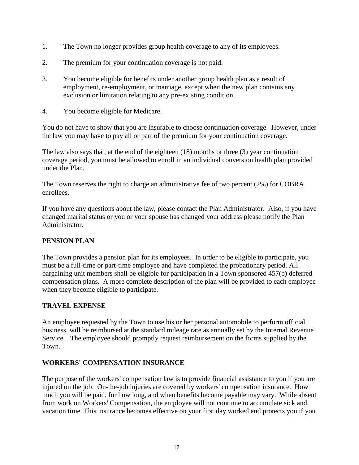- 1. The Town no longer provides group health coverage to any of its employees.
- 2. The premium for your continuation coverage is not paid.
- 3. You become eligible for benefits under another group health plan as a result of employment, re-employment, or marriage, except when the new plan contains any exclusion or limitation relating to any pre-existing condition.
- 4. You become eligible for Medicare.

You do not have to show that you are insurable to choose continuation coverage. However, under the law you may have to pay all or part of the premium for your continuation coverage.

The law also says that, at the end of the eighteen (18) months or three (3) year continuation coverage period, you must be allowed to enroll in an individual conversion health plan provided under the Plan.

The Town reserves the right to charge an administrative fee of two percent (2%) for COBRA enrollees.

If you have any questions about the law, please contact the Plan Administrator. Also, if you have changed marital status or you or your spouse has changed your address please notify the Plan Administrator.

## **PENSION PLAN**

The Town provides a pension plan for its employees. In order to be eligible to participate, you must be a full-time or part-time employee and have completed the probationary period. All bargaining unit members shall be eligible for participation in a Town sponsored 457(b) deferred compensation plans. A more complete description of the plan will be provided to each employee when they become eligible to participate.

## **TRAVEL EXPENSE**

An employee requested by the Town to use his or her personal automobile to perform official business, will be reimbursed at the standard mileage rate as annually set by the Internal Revenue Service. The employee should promptly request reimbursement on the forms supplied by the Town.

## **WORKERS' COMPENSATION INSURANCE**

The purpose of the workers' compensation law is to provide financial assistance to you if you are injured on the job. On-the-job injuries are covered by workers' compensation insurance. How much you will be paid, for how long, and when benefits become payable may vary. While absent from work on Workers' Compensation, the employee will not continue to accumulate sick and vacation time. This insurance becomes effective on your first day worked and protects you if you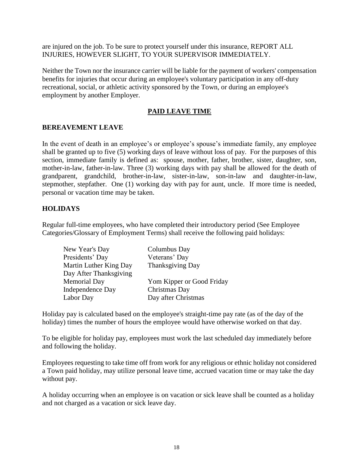are injured on the job. To be sure to protect yourself under this insurance, REPORT ALL INJURIES, HOWEVER SLIGHT, TO YOUR SUPERVISOR IMMEDIATELY.

Neither the Town nor the insurance carrier will be liable for the payment of workers' compensation benefits for injuries that occur during an employee's voluntary participation in any off-duty recreational, social, or athletic activity sponsored by the Town, or during an employee's employment by another Employer.

## **PAID LEAVE TIME**

#### **BEREAVEMENT LEAVE**

In the event of death in an employee's or employee's spouse's immediate family, any employee shall be granted up to five (5) working days of leave without loss of pay. For the purposes of this section, immediate family is defined as: spouse, mother, father, brother, sister, daughter, son, mother-in-law, father-in-law. Three (3) working days with pay shall be allowed for the death of grandparent, grandchild, brother-in-law, sister-in-law, son-in-law and daughter-in-law, stepmother, stepfather. One (1) working day with pay for aunt, uncle. If more time is needed, personal or vacation time may be taken.

#### **HOLIDAYS**

Regular full-time employees, who have completed their introductory period (See Employee Categories/Glossary of Employment Terms) shall receive the following paid holidays:

| New Year's Day          | Columbus Day              |
|-------------------------|---------------------------|
| Presidents' Day         | Veterans' Day             |
| Martin Luther King Day  | Thanksgiving Day          |
| Day After Thanksgiving  |                           |
| Memorial Day            | Yom Kipper or Good Friday |
| <b>Independence Day</b> | Christmas Day             |
| Labor Day               | Day after Christmas       |
|                         |                           |

Holiday pay is calculated based on the employee's straight-time pay rate (as of the day of the holiday) times the number of hours the employee would have otherwise worked on that day.

To be eligible for holiday pay, employees must work the last scheduled day immediately before and following the holiday.

Employees requesting to take time off from work for any religious or ethnic holiday not considered a Town paid holiday, may utilize personal leave time, accrued vacation time or may take the day without pay.

A holiday occurring when an employee is on vacation or sick leave shall be counted as a holiday and not charged as a vacation or sick leave day.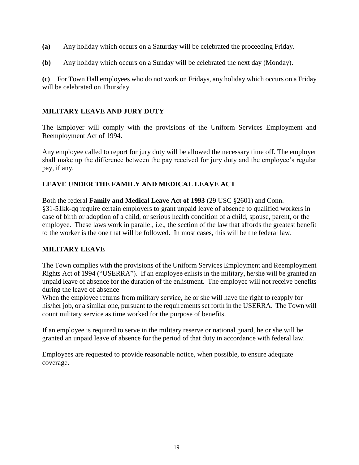- **(a)** Any holiday which occurs on a Saturday will be celebrated the proceeding Friday.
- **(b)** Any holiday which occurs on a Sunday will be celebrated the next day (Monday).

**(c)** For Town Hall employees who do not work on Fridays, any holiday which occurs on a Friday will be celebrated on Thursday.

## **MILITARY LEAVE AND JURY DUTY**

The Employer will comply with the provisions of the Uniform Services Employment and Reemployment Act of 1994.

Any employee called to report for jury duty will be allowed the necessary time off. The employer shall make up the difference between the pay received for jury duty and the employee's regular pay, if any.

## **LEAVE UNDER THE FAMILY AND MEDICAL LEAVE ACT**

Both the federal **Family and Medical Leave Act of 1993** (29 USC §2601) and Conn. §31-51kk-qq require certain employers to grant unpaid leave of absence to qualified workers in case of birth or adoption of a child, or serious health condition of a child, spouse, parent, or the employee. These laws work in parallel, i.e., the section of the law that affords the greatest benefit to the worker is the one that will be followed. In most cases, this will be the federal law.

## **MILITARY LEAVE**

The Town complies with the provisions of the Uniform Services Employment and Reemployment Rights Act of 1994 ("USERRA"). If an employee enlists in the military, he/she will be granted an unpaid leave of absence for the duration of the enlistment. The employee will not receive benefits during the leave of absence

When the employee returns from military service, he or she will have the right to reapply for his/her job, or a similar one, pursuant to the requirements set forth in the USERRA. The Town will count military service as time worked for the purpose of benefits.

If an employee is required to serve in the military reserve or national guard, he or she will be granted an unpaid leave of absence for the period of that duty in accordance with federal law.

Employees are requested to provide reasonable notice, when possible, to ensure adequate coverage.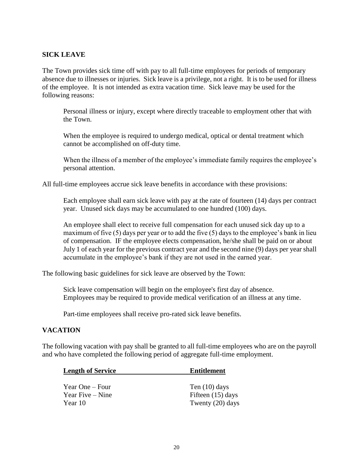#### **SICK LEAVE**

The Town provides sick time off with pay to all full-time employees for periods of temporary absence due to illnesses or injuries. Sick leave is a privilege, not a right. It is to be used for illness of the employee. It is not intended as extra vacation time. Sick leave may be used for the following reasons:

Personal illness or injury, except where directly traceable to employment other that with the Town.

When the employee is required to undergo medical, optical or dental treatment which cannot be accomplished on off-duty time.

When the illness of a member of the employee's immediate family requires the employee's personal attention.

All full-time employees accrue sick leave benefits in accordance with these provisions:

Each employee shall earn sick leave with pay at the rate of fourteen (14) days per contract year. Unused sick days may be accumulated to one hundred (100) days.

An employee shall elect to receive full compensation for each unused sick day up to a maximum of five (5) days per year or to add the five (5) days to the employee's bank in lieu of compensation. IF the employee elects compensation, he/she shall be paid on or about July 1 of each year for the previous contract year and the second nine (9) days per year shall accumulate in the employee's bank if they are not used in the earned year.

The following basic guidelines for sick leave are observed by the Town:

Sick leave compensation will begin on the employee's first day of absence. Employees may be required to provide medical verification of an illness at any time.

Part-time employees shall receive pro-rated sick leave benefits.

#### **VACATION**

The following vacation with pay shall be granted to all full-time employees who are on the payroll and who have completed the following period of aggregate full-time employment.

| <b>Length of Service</b>              | <b>Entitlement</b>                     |
|---------------------------------------|----------------------------------------|
| Year One – Four<br>Year Five $-$ Nine | Ten $(10)$ days<br>Fifteen $(15)$ days |
| Year 10                               | Twenty (20) days                       |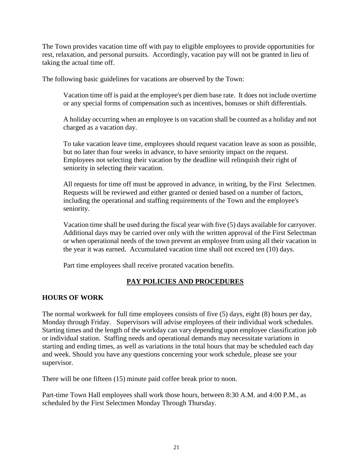The Town provides vacation time off with pay to eligible employees to provide opportunities for rest, relaxation, and personal pursuits. Accordingly, vacation pay will not be granted in lieu of taking the actual time off.

The following basic guidelines for vacations are observed by the Town:

Vacation time off is paid at the employee's per diem base rate. It does not include overtime or any special forms of compensation such as incentives, bonuses or shift differentials.

A holiday occurring when an employee is on vacation shall be counted as a holiday and not charged as a vacation day.

To take vacation leave time, employees should request vacation leave as soon as possible, but no later than four weeks in advance, to have seniority impact on the request. Employees not selecting their vacation by the deadline will relinquish their right of seniority in selecting their vacation.

All requests for time off must be approved in advance, in writing, by the First Selectmen. Requests will be reviewed and either granted or denied based on a number of factors, including the operational and staffing requirements of the Town and the employee's seniority.

Vacation time shall be used during the fiscal year with five (5) days available for carryover. Additional days may be carried over only with the written approval of the First Selectman or when operational needs of the town prevent an employee from using all their vacation in the year it was earned. Accumulated vacation time shall not exceed ten (10) days.

Part time employees shall receive prorated vacation benefits.

## **PAY POLICIES AND PROCEDURES**

#### **HOURS OF WORK**

The normal workweek for full time employees consists of five (5) days, eight (8) hours per day, Monday through Friday. Supervisors will advise employees of their individual work schedules. Starting times and the length of the workday can vary depending upon employee classification job or individual station. Staffing needs and operational demands may necessitate variations in starting and ending times, as well as variations in the total hours that may be scheduled each day and week. Should you have any questions concerning your work schedule, please see your supervisor.

There will be one fifteen (15) minute paid coffee break prior to noon.

Part-time Town Hall employees shall work those hours, between 8:30 A.M. and 4:00 P.M., as scheduled by the First Selectmen Monday Through Thursday.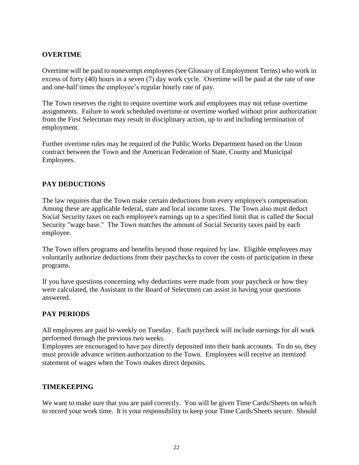## **OVERTIME**

Overtime will be paid to nonexempt employees (see Glossary of Employment Terms) who work in excess of forty (40) hours in a seven (7) day work cycle. Overtime will be paid at the rate of one and one-half times the employee's regular hourly rate of pay.

The Town reserves the right to require overtime work and employees may not refuse overtime assignments. Failure to work scheduled overtime or overtime worked without prior authorization from the First Selectman may result in disciplinary action, up to and including termination of employment.

Further overtime rules may be required of the Public Works Department based on the Union contract between the Town and the American Federation of State, County and Municipal Employees.

## **PAY DEDUCTIONS**

The law requires that the Town make certain deductions from every employee's compensation. Among these are applicable federal, state and local income taxes. The Town also must deduct Social Security taxes on each employee's earnings up to a specified limit that is called the Social Security "wage base." The Town matches the amount of Social Security taxes paid by each employee.

The Town offers programs and benefits beyond those required by law. Eligible employees may voluntarily authorize deductions from their paychecks to cover the costs of participation in these programs.

If you have questions concerning why deductions were made from your paycheck or how they were calculated, the Assistant to the Board of Selectmen can assist in having your questions answered.

#### **PAY PERIODS**

All employees are paid bi-weekly on Tuesday. Each paycheck will include earnings for all work performed through the previous two weeks.

Employees are encouraged to have pay directly deposited into their bank accounts. To do so, they must provide advance written authorization to the Town. Employees will receive an itemized statement of wages when the Town makes direct deposits.

#### **TIMEKEEPING**

We want to make sure that you are paid correctly. You will be given Time Cards/Sheets on which to record your work time. It is your responsibility to keep your Time Cards/Sheets secure. Should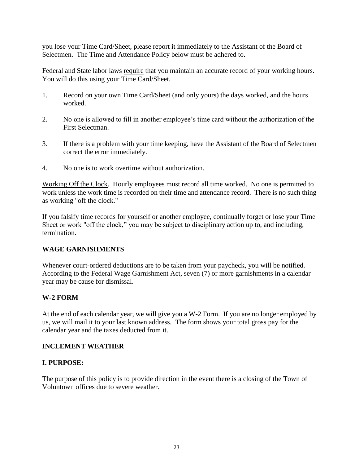you lose your Time Card/Sheet, please report it immediately to the Assistant of the Board of Selectmen. The Time and Attendance Policy below must be adhered to.

Federal and State labor laws require that you maintain an accurate record of your working hours. You will do this using your Time Card/Sheet.

- 1. Record on your own Time Card/Sheet (and only yours) the days worked, and the hours worked.
- 2. No one is allowed to fill in another employee's time card without the authorization of the First Selectman.
- 3. If there is a problem with your time keeping, have the Assistant of the Board of Selectmen correct the error immediately.
- 4. No one is to work overtime without authorization.

Working Off the Clock. Hourly employees must record all time worked. No one is permitted to work unless the work time is recorded on their time and attendance record. There is no such thing as working "off the clock."

If you falsify time records for yourself or another employee, continually forget or lose your Time Sheet or work "off the clock," you may be subject to disciplinary action up to, and including, termination.

## **WAGE GARNISHMENTS**

Whenever court-ordered deductions are to be taken from your paycheck, you will be notified. According to the Federal Wage Garnishment Act, seven (7) or more garnishments in a calendar year may be cause for dismissal.

## **W-2 FORM**

At the end of each calendar year, we will give you a W-2 Form. If you are no longer employed by us, we will mail it to your last known address. The form shows your total gross pay for the calendar year and the taxes deducted from it.

#### **INCLEMENT WEATHER**

## **I. PURPOSE:**

The purpose of this policy is to provide direction in the event there is a closing of the Town of Voluntown offices due to severe weather.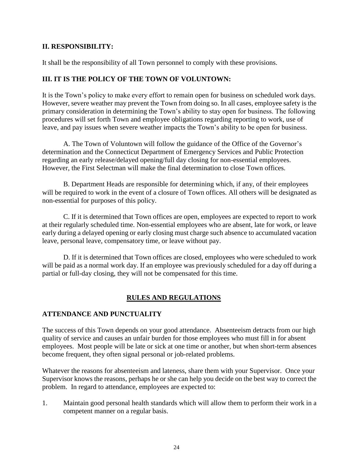## **II. RESPONSIBILITY:**

It shall be the responsibility of all Town personnel to comply with these provisions.

#### **III. IT IS THE POLICY OF THE TOWN OF VOLUNTOWN:**

It is the Town's policy to make every effort to remain open for business on scheduled work days. However, severe weather may prevent the Town from doing so. In all cases, employee safety is the primary consideration in determining the Town's ability to stay open for business. The following procedures will set forth Town and employee obligations regarding reporting to work, use of leave, and pay issues when severe weather impacts the Town's ability to be open for business.

A. The Town of Voluntown will follow the guidance of the Office of the Governor's determination and the Connecticut Department of Emergency Services and Public Protection regarding an early release/delayed opening/full day closing for non-essential employees. However, the First Selectman will make the final determination to close Town offices.

B. Department Heads are responsible for determining which, if any, of their employees will be required to work in the event of a closure of Town offices. All others will be designated as non-essential for purposes of this policy.

C. If it is determined that Town offices are open, employees are expected to report to work at their regularly scheduled time. Non-essential employees who are absent, late for work, or leave early during a delayed opening or early closing must charge such absence to accumulated vacation leave, personal leave, compensatory time, or leave without pay.

D. If it is determined that Town offices are closed, employees who were scheduled to work will be paid as a normal work day. If an employee was previously scheduled for a day off during a partial or full-day closing, they will not be compensated for this time.

## **RULES AND REGULATIONS**

#### **ATTENDANCE AND PUNCTUALITY**

The success of this Town depends on your good attendance. Absenteeism detracts from our high quality of service and causes an unfair burden for those employees who must fill in for absent employees. Most people will be late or sick at one time or another, but when short-term absences become frequent, they often signal personal or job-related problems.

Whatever the reasons for absenteeism and lateness, share them with your Supervisor. Once your Supervisor knows the reasons, perhaps he or she can help you decide on the best way to correct the problem. In regard to attendance, employees are expected to:

1. Maintain good personal health standards which will allow them to perform their work in a competent manner on a regular basis.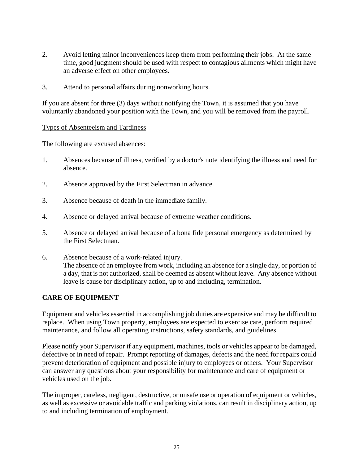- 2. Avoid letting minor inconveniences keep them from performing their jobs. At the same time, good judgment should be used with respect to contagious ailments which might have an adverse effect on other employees.
- 3. Attend to personal affairs during nonworking hours.

If you are absent for three (3) days without notifying the Town, it is assumed that you have voluntarily abandoned your position with the Town, and you will be removed from the payroll.

#### Types of Absenteeism and Tardiness

The following are excused absences:

- 1. Absences because of illness, verified by a doctor's note identifying the illness and need for absence.
- 2. Absence approved by the First Selectman in advance.
- 3. Absence because of death in the immediate family.
- 4. Absence or delayed arrival because of extreme weather conditions.
- 5. Absence or delayed arrival because of a bona fide personal emergency as determined by the First Selectman.
- 6. Absence because of a work-related injury. The absence of an employee from work, including an absence for a single day, or portion of a day, that is not authorized, shall be deemed as absent without leave. Any absence without leave is cause for disciplinary action, up to and including, termination.

## **CARE OF EQUIPMENT**

Equipment and vehicles essential in accomplishing job duties are expensive and may be difficult to replace. When using Town property, employees are expected to exercise care, perform required maintenance, and follow all operating instructions, safety standards, and guidelines.

Please notify your Supervisor if any equipment, machines, tools or vehicles appear to be damaged, defective or in need of repair. Prompt reporting of damages, defects and the need for repairs could prevent deterioration of equipment and possible injury to employees or others. Your Supervisor can answer any questions about your responsibility for maintenance and care of equipment or vehicles used on the job.

The improper, careless, negligent, destructive, or unsafe use or operation of equipment or vehicles, as well as excessive or avoidable traffic and parking violations, can result in disciplinary action, up to and including termination of employment.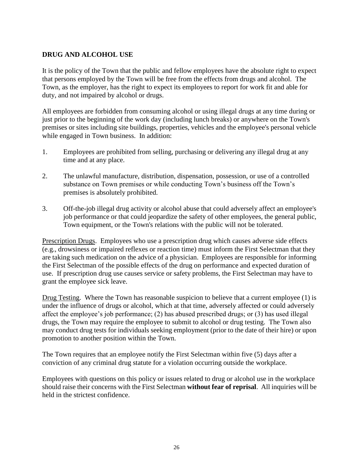## **DRUG AND ALCOHOL USE**

It is the policy of the Town that the public and fellow employees have the absolute right to expect that persons employed by the Town will be free from the effects from drugs and alcohol. The Town, as the employer, has the right to expect its employees to report for work fit and able for duty, and not impaired by alcohol or drugs.

All employees are forbidden from consuming alcohol or using illegal drugs at any time during or just prior to the beginning of the work day (including lunch breaks) or anywhere on the Town's premises or sites including site buildings, properties, vehicles and the employee's personal vehicle while engaged in Town business. In addition:

- 1. Employees are prohibited from selling, purchasing or delivering any illegal drug at any time and at any place.
- 2. The unlawful manufacture, distribution, dispensation, possession, or use of a controlled substance on Town premises or while conducting Town's business off the Town's premises is absolutely prohibited.
- 3. Off-the-job illegal drug activity or alcohol abuse that could adversely affect an employee's job performance or that could jeopardize the safety of other employees, the general public, Town equipment, or the Town's relations with the public will not be tolerated.

Prescription Drugs. Employees who use a prescription drug which causes adverse side effects (e.g., drowsiness or impaired reflexes or reaction time) must inform the First Selectman that they are taking such medication on the advice of a physician. Employees are responsible for informing the First Selectman of the possible effects of the drug on performance and expected duration of use. If prescription drug use causes service or safety problems, the First Selectman may have to grant the employee sick leave.

Drug Testing. Where the Town has reasonable suspicion to believe that a current employee (1) is under the influence of drugs or alcohol, which at that time, adversely affected or could adversely affect the employee's job performance; (2) has abused prescribed drugs; or (3) has used illegal drugs, the Town may require the employee to submit to alcohol or drug testing. The Town also may conduct drug tests for individuals seeking employment (prior to the date of their hire) or upon promotion to another position within the Town.

The Town requires that an employee notify the First Selectman within five (5) days after a conviction of any criminal drug statute for a violation occurring outside the workplace.

Employees with questions on this policy or issues related to drug or alcohol use in the workplace should raise their concerns with the First Selectman **without fear of reprisal**. All inquiries will be held in the strictest confidence.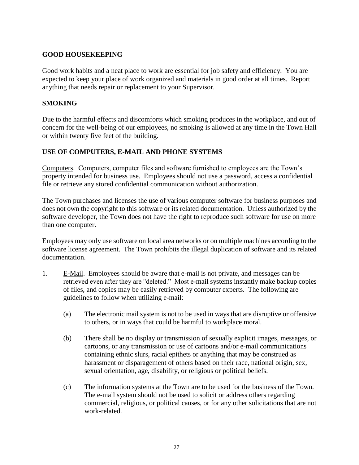#### **GOOD HOUSEKEEPING**

Good work habits and a neat place to work are essential for job safety and efficiency. You are expected to keep your place of work organized and materials in good order at all times. Report anything that needs repair or replacement to your Supervisor.

#### **SMOKING**

Due to the harmful effects and discomforts which smoking produces in the workplace, and out of concern for the well-being of our employees, no smoking is allowed at any time in the Town Hall or within twenty five feet of the building.

## **USE OF COMPUTERS, E-MAIL AND PHONE SYSTEMS**

Computers. Computers, computer files and software furnished to employees are the Town's property intended for business use. Employees should not use a password, access a confidential file or retrieve any stored confidential communication without authorization.

The Town purchases and licenses the use of various computer software for business purposes and does not own the copyright to this software or its related documentation. Unless authorized by the software developer, the Town does not have the right to reproduce such software for use on more than one computer.

Employees may only use software on local area networks or on multiple machines according to the software license agreement. The Town prohibits the illegal duplication of software and its related documentation.

- 1. E-Mail. Employees should be aware that e-mail is not private, and messages can be retrieved even after they are "deleted." Most e-mail systems instantly make backup copies of files, and copies may be easily retrieved by computer experts. The following are guidelines to follow when utilizing e-mail:
	- (a) The electronic mail system is not to be used in ways that are disruptive or offensive to others, or in ways that could be harmful to workplace moral.
	- (b) There shall be no display or transmission of sexually explicit images, messages, or cartoons, or any transmission or use of cartoons and/or e-mail communications containing ethnic slurs, racial epithets or anything that may be construed as harassment or disparagement of others based on their race, national origin, sex, sexual orientation, age, disability, or religious or political beliefs.
	- (c) The information systems at the Town are to be used for the business of the Town. The e-mail system should not be used to solicit or address others regarding commercial, religious, or political causes, or for any other solicitations that are not work-related.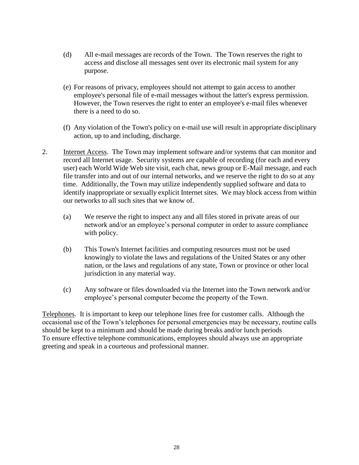- (d) All e-mail messages are records of the Town. The Town reserves the right to access and disclose all messages sent over its electronic mail system for any purpose.
- (e) For reasons of privacy, employees should not attempt to gain access to another employee's personal file of e-mail messages without the latter's express permission. However, the Town reserves the right to enter an employee's e-mail files whenever there is a need to do so.
- (f) Any violation of the Town's policy on e-mail use will result in appropriate disciplinary action, up to and including, discharge.
- 2. Internet Access. The Town may implement software and/or systems that can monitor and record all Internet usage. Security systems are capable of recording (for each and every user) each World Wide Web site visit, each chat, news group or E-Mail message, and each file transfer into and out of our internal networks, and we reserve the right to do so at any time. Additionally, the Town may utilize independently supplied software and data to identify inappropriate or sexually explicit Internet sites. We may block access from within our networks to all such sites that we know of.
	- (a) We reserve the right to inspect any and all files stored in private areas of our network and/or an employee's personal computer in order to assure compliance with policy.
	- (b) This Town's Internet facilities and computing resources must not be used knowingly to violate the laws and regulations of the United States or any other nation, or the laws and regulations of any state, Town or province or other local jurisdiction in any material way.
	- (c) Any software or files downloaded via the Internet into the Town network and/or employee's personal computer become the property of the Town.

Telephones. It is important to keep our telephone lines free for customer calls. Although the occasional use of the Town's telephones for personal emergencies may be necessary, routine calls should be kept to a minimum and should be made during breaks and/or lunch periods To ensure effective telephone communications, employees should always use an appropriate greeting and speak in a courteous and professional manner.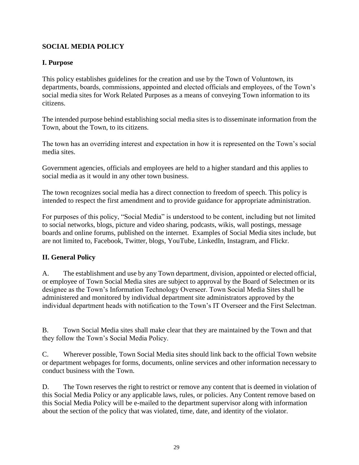## **SOCIAL MEDIA POLICY**

## **I. Purpose**

This policy establishes guidelines for the creation and use by the Town of Voluntown, its departments, boards, commissions, appointed and elected officials and employees, of the Town's social media sites for Work Related Purposes as a means of conveying Town information to its citizens.

The intended purpose behind establishing social media sites is to disseminate information from the Town, about the Town, to its citizens.

The town has an overriding interest and expectation in how it is represented on the Town's social media sites.

Government agencies, officials and employees are held to a higher standard and this applies to social media as it would in any other town business.

The town recognizes social media has a direct connection to freedom of speech. This policy is intended to respect the first amendment and to provide guidance for appropriate administration.

For purposes of this policy, "Social Media" is understood to be content, including but not limited to social networks, blogs, picture and video sharing, podcasts, wikis, wall postings, message boards and online forums, published on the internet. Examples of Social Media sites include, but are not limited to, Facebook, Twitter, blogs, YouTube, LinkedIn, Instagram, and Flickr.

## **II. General Policy**

A. The establishment and use by any Town department, division, appointed or elected official, or employee of Town Social Media sites are subject to approval by the Board of Selectmen or its designee as the Town's Information Technology Overseer. Town Social Media Sites shall be administered and monitored by individual department site administrators approved by the individual department heads with notification to the Town's IT Overseer and the First Selectman.

B. Town Social Media sites shall make clear that they are maintained by the Town and that they follow the Town's Social Media Policy.

C. Wherever possible, Town Social Media sites should link back to the official Town website or department webpages for forms, documents, online services and other information necessary to conduct business with the Town.

D. The Town reserves the right to restrict or remove any content that is deemed in violation of this Social Media Policy or any applicable laws, rules, or policies. Any Content remove based on this Social Media Policy will be e-mailed to the department supervisor along with information about the section of the policy that was violated, time, date, and identity of the violator.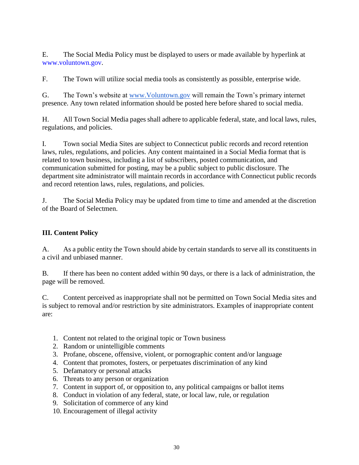E. The Social Media Policy must be displayed to users or made available by hyperlink at [www.voluntown.gov.](http://www.voluntown.gov/)

F. The Town will utilize social media tools as consistently as possible, enterprise wide.

G. The Town's website at [www.Voluntown.gov](http://www.voluntown.gov/) will remain the Town's primary internet presence. Any town related information should be posted here before shared to social media.

H. All Town Social Media pages shall adhere to applicable federal, state, and local laws, rules, regulations, and policies.

I. Town social Media Sites are subject to Connecticut public records and record retention laws, rules, regulations, and policies. Any content maintained in a Social Media format that is related to town business, including a list of subscribers, posted communication, and communication submitted for posting, may be a public subject to public disclosure. The department site administrator will maintain records in accordance with Connecticut public records and record retention laws, rules, regulations, and policies.

J. The Social Media Policy may be updated from time to time and amended at the discretion of the Board of Selectmen.

## **III. Content Policy**

A. As a public entity the Town should abide by certain standards to serve all its constituents in a civil and unbiased manner.

B. If there has been no content added within 90 days, or there is a lack of administration, the page will be removed.

C. Content perceived as inappropriate shall not be permitted on Town Social Media sites and is subject to removal and/or restriction by site administrators. Examples of inappropriate content are:

- 1. Content not related to the original topic or Town business
- 2. Random or unintelligible comments
- 3. Profane, obscene, offensive, violent, or pornographic content and/or language
- 4. Content that promotes, fosters, or perpetuates discrimination of any kind
- 5. Defamatory or personal attacks
- 6. Threats to any person or organization
- 7. Content in support of, or opposition to, any political campaigns or ballot items
- 8. Conduct in violation of any federal, state, or local law, rule, or regulation
- 9. Solicitation of commerce of any kind
- 10. Encouragement of illegal activity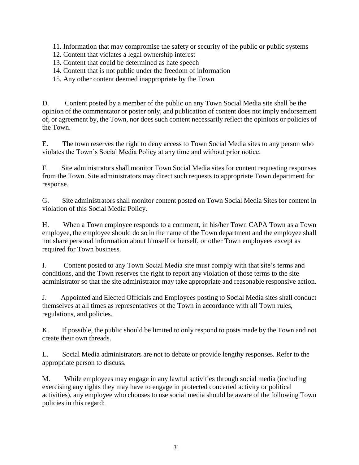11. Information that may compromise the safety or security of the public or public systems

- 12. Content that violates a legal ownership interest
- 13. Content that could be determined as hate speech
- 14. Content that is not public under the freedom of information

15. Any other content deemed inappropriate by the Town

D. Content posted by a member of the public on any Town Social Media site shall be the opinion of the commentator or poster only, and publication of content does not imply endorsement of, or agreement by, the Town, nor does such content necessarily reflect the opinions or policies of the Town.

E. The town reserves the right to deny access to Town Social Media sites to any person who violates the Town's Social Media Policy at any time and without prior notice.

F. Site administrators shall monitor Town Social Media sites for content requesting responses from the Town. Site administrators may direct such requests to appropriate Town department for response.

G. Site administrators shall monitor content posted on Town Social Media Sites for content in violation of this Social Media Policy.

H. When a Town employee responds to a comment, in his/her Town CAPA Town as a Town employee, the employee should do so in the name of the Town department and the employee shall not share personal information about himself or herself, or other Town employees except as required for Town business.

I. Content posted to any Town Social Media site must comply with that site's terms and conditions, and the Town reserves the right to report any violation of those terms to the site administrator so that the site administrator may take appropriate and reasonable responsive action.

J. Appointed and Elected Officials and Employees posting to Social Media sites shall conduct themselves at all times as representatives of the Town in accordance with all Town rules, regulations, and policies.

K. If possible, the public should be limited to only respond to posts made by the Town and not create their own threads.

L. Social Media administrators are not to debate or provide lengthy responses. Refer to the appropriate person to discuss.

M. While employees may engage in any lawful activities through social media (including exercising any rights they may have to engage in protected concerted activity or political activities), any employee who chooses to use social media should be aware of the following Town policies in this regard: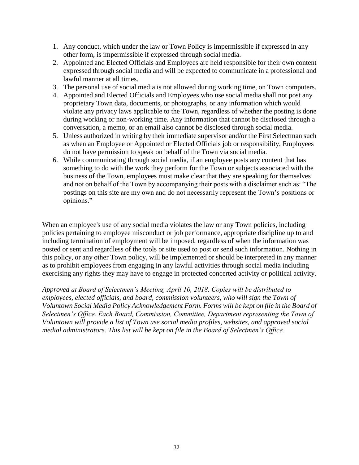- 1. Any conduct, which under the law or Town Policy is impermissible if expressed in any other form, is impermissible if expressed through social media.
- 2. Appointed and Elected Officials and Employees are held responsible for their own content expressed through social media and will be expected to communicate in a professional and lawful manner at all times.
- 3. The personal use of social media is not allowed during working time, on Town computers.
- 4. Appointed and Elected Officials and Employees who use social media shall not post any proprietary Town data, documents, or photographs, or any information which would violate any privacy laws applicable to the Town, regardless of whether the posting is done during working or non-working time. Any information that cannot be disclosed through a conversation, a memo, or an email also cannot be disclosed through social media.
- 5. Unless authorized in writing by their immediate supervisor and/or the First Selectman such as when an Employee or Appointed or Elected Officials job or responsibility, Employees do not have permission to speak on behalf of the Town via social media.
- 6. While communicating through social media, if an employee posts any content that has something to do with the work they perform for the Town or subjects associated with the business of the Town, employees must make clear that they are speaking for themselves and not on behalf of the Town by accompanying their posts with a disclaimer such as: "The postings on this site are my own and do not necessarily represent the Town's positions or opinions."

When an employee's use of any social media violates the law or any Town policies, including policies pertaining to employee misconduct or job performance, appropriate discipline up to and including termination of employment will be imposed, regardless of when the information was posted or sent and regardless of the tools or site used to post or send such information. Nothing in this policy, or any other Town policy, will be implemented or should be interpreted in any manner as to prohibit employees from engaging in any lawful activities through social media including exercising any rights they may have to engage in protected concerted activity or political activity.

*Approved at Board of Selectmen's Meeting, April 10, 2018. Copies will be distributed to employees, elected officials, and board, commission volunteers, who will sign the Town of Voluntown Social Media Policy Acknowledgement Form. Forms will be kept on file in the Board of Selectmen's Office. Each Board, Commission, Committee, Department representing the Town of Voluntown will provide a list of Town use social media profiles, websites, and approved social medial administrators. This list will be kept on file in the Board of Selectmen's Office.*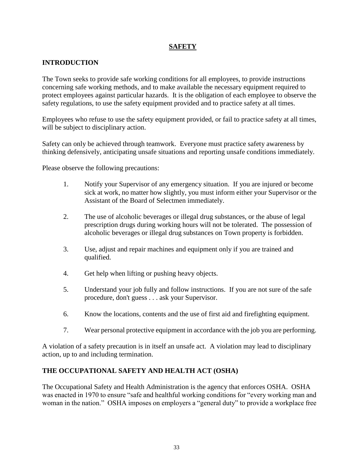## **SAFETY**

## **INTRODUCTION**

The Town seeks to provide safe working conditions for all employees, to provide instructions concerning safe working methods, and to make available the necessary equipment required to protect employees against particular hazards. It is the obligation of each employee to observe the safety regulations, to use the safety equipment provided and to practice safety at all times.

Employees who refuse to use the safety equipment provided, or fail to practice safety at all times, will be subject to disciplinary action.

Safety can only be achieved through teamwork. Everyone must practice safety awareness by thinking defensively, anticipating unsafe situations and reporting unsafe conditions immediately.

Please observe the following precautions:

- 1. Notify your Supervisor of any emergency situation. If you are injured or become sick at work, no matter how slightly, you must inform either your Supervisor or the Assistant of the Board of Selectmen immediately.
- 2. The use of alcoholic beverages or illegal drug substances, or the abuse of legal prescription drugs during working hours will not be tolerated. The possession of alcoholic beverages or illegal drug substances on Town property is forbidden.
- 3. Use, adjust and repair machines and equipment only if you are trained and qualified.
- 4. Get help when lifting or pushing heavy objects.
- 5. Understand your job fully and follow instructions. If you are not sure of the safe procedure, don't guess . . . ask your Supervisor.
- 6. Know the locations, contents and the use of first aid and firefighting equipment.
- 7. Wear personal protective equipment in accordance with the job you are performing.

A violation of a safety precaution is in itself an unsafe act. A violation may lead to disciplinary action, up to and including termination.

## **THE OCCUPATIONAL SAFETY AND HEALTH ACT (OSHA)**

The Occupational Safety and Health Administration is the agency that enforces OSHA. OSHA was enacted in 1970 to ensure "safe and healthful working conditions for "every working man and woman in the nation." OSHA imposes on employers a "general duty" to provide a workplace free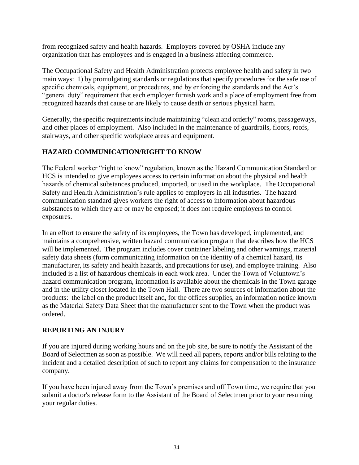from recognized safety and health hazards. Employers covered by OSHA include any organization that has employees and is engaged in a business affecting commerce.

The Occupational Safety and Health Administration protects employee health and safety in two main ways: 1) by promulgating standards or regulations that specify procedures for the safe use of specific chemicals, equipment, or procedures, and by enforcing the standards and the Act's "general duty" requirement that each employer furnish work and a place of employment free from recognized hazards that cause or are likely to cause death or serious physical harm.

Generally, the specific requirements include maintaining "clean and orderly" rooms, passageways, and other places of employment. Also included in the maintenance of guardrails, floors, roofs, stairways, and other specific workplace areas and equipment.

## **HAZARD COMMUNICATION/RIGHT TO KNOW**

The Federal worker "right to know" regulation, known as the Hazard Communication Standard or HCS is intended to give employees access to certain information about the physical and health hazards of chemical substances produced, imported, or used in the workplace. The Occupational Safety and Health Administration's rule applies to employers in all industries. The hazard communication standard gives workers the right of access to information about hazardous substances to which they are or may be exposed; it does not require employers to control exposures.

In an effort to ensure the safety of its employees, the Town has developed, implemented, and maintains a comprehensive, written hazard communication program that describes how the HCS will be implemented. The program includes cover container labeling and other warnings, material safety data sheets (form communicating information on the identity of a chemical hazard, its manufacturer, its safety and health hazards, and precautions for use), and employee training. Also included is a list of hazardous chemicals in each work area. Under the Town of Voluntown's hazard communication program, information is available about the chemicals in the Town garage and in the utility closet located in the Town Hall. There are two sources of information about the products: the label on the product itself and, for the offices supplies, an information notice known as the Material Safety Data Sheet that the manufacturer sent to the Town when the product was ordered.

## **REPORTING AN INJURY**

If you are injured during working hours and on the job site, be sure to notify the Assistant of the Board of Selectmen as soon as possible. We will need all papers, reports and/or bills relating to the incident and a detailed description of such to report any claims for compensation to the insurance company.

If you have been injured away from the Town's premises and off Town time, we require that you submit a doctor's release form to the Assistant of the Board of Selectmen prior to your resuming your regular duties.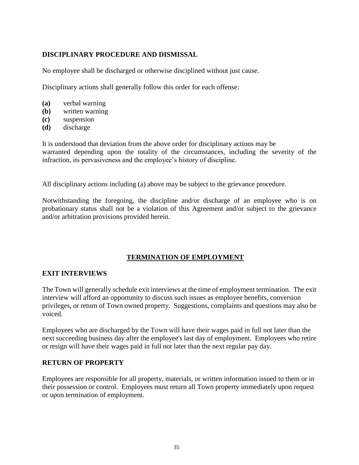#### **DISCIPLINARY PROCEDURE AND DISMISSAL**

No employee shall be discharged or otherwise disciplined without just cause.

Disciplinary actions shall generally follow this order for each offense:

- **(a)** verbal warning
- **(b)** written warning
- **(c)** suspension
- **(d)** discharge

It is understood that deviation from the above order for disciplinary actions may be warranted depending upon the totality of the circumstances, including the severity of the infraction, its pervasiveness and the employee's history of discipline.

All disciplinary actions including (a) above may be subject to the grievance procedure.

Notwithstanding the foregoing, the discipline and/or discharge of an employee who is on probationary status shall not be a violation of this Agreement and/or subject to the grievance and/or arbitration provisions provided herein.

## **TERMINATION OF EMPLOYMENT**

#### **EXIT INTERVIEWS**

The Town will generally schedule exit interviews at the time of employment termination. The exit interview will afford an opportunity to discuss such issues as employee benefits, conversion privileges, or return of Town owned property. Suggestions, complaints and questions may also be voiced.

Employees who are discharged by the Town will have their wages paid in full not later than the next succeeding business day after the employee's last day of employment. Employees who retire or resign will have their wages paid in full not later than the next regular pay day.

#### **RETURN OF PROPERTY**

Employees are responsible for all property, materials, or written information issued to them or in their possession or control. Employees must return all Town property immediately upon request or upon termination of employment.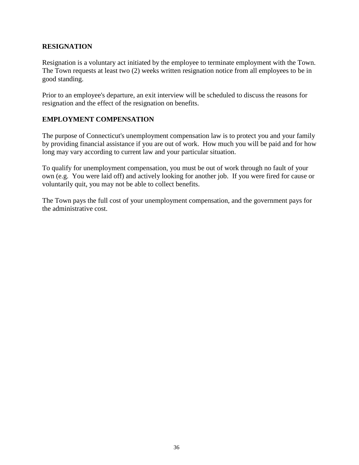#### **RESIGNATION**

Resignation is a voluntary act initiated by the employee to terminate employment with the Town. The Town requests at least two (2) weeks written resignation notice from all employees to be in good standing.

Prior to an employee's departure, an exit interview will be scheduled to discuss the reasons for resignation and the effect of the resignation on benefits.

#### **EMPLOYMENT COMPENSATION**

The purpose of Connecticut's unemployment compensation law is to protect you and your family by providing financial assistance if you are out of work. How much you will be paid and for how long may vary according to current law and your particular situation.

To qualify for unemployment compensation, you must be out of work through no fault of your own (e.g. You were laid off) and actively looking for another job. If you were fired for cause or voluntarily quit, you may not be able to collect benefits.

The Town pays the full cost of your unemployment compensation, and the government pays for the administrative cost.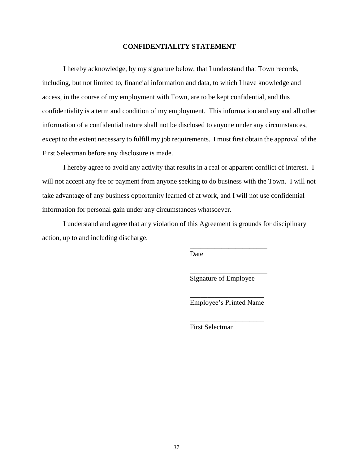#### **CONFIDENTIALITY STATEMENT**

I hereby acknowledge, by my signature below, that I understand that Town records, including, but not limited to, financial information and data, to which I have knowledge and access, in the course of my employment with Town, are to be kept confidential, and this confidentiality is a term and condition of my employment. This information and any and all other information of a confidential nature shall not be disclosed to anyone under any circumstances, except to the extent necessary to fulfill my job requirements. I must first obtain the approval of the First Selectman before any disclosure is made.

I hereby agree to avoid any activity that results in a real or apparent conflict of interest. I will not accept any fee or payment from anyone seeking to do business with the Town. I will not take advantage of any business opportunity learned of at work, and I will not use confidential information for personal gain under any circumstances whatsoever.

I understand and agree that any violation of this Agreement is grounds for disciplinary action, up to and including discharge.

Date

Signature of Employee

\_\_\_\_\_\_\_\_\_\_\_\_\_\_\_\_\_\_\_\_\_\_

\_\_\_\_\_\_\_\_\_\_\_\_\_\_\_\_\_\_\_\_\_\_

\_\_\_\_\_\_\_\_\_\_\_\_\_\_\_\_\_\_\_\_\_ Employee's Printed Name

\_\_\_\_\_\_\_\_\_\_\_\_\_\_\_\_\_\_\_\_\_

First Selectman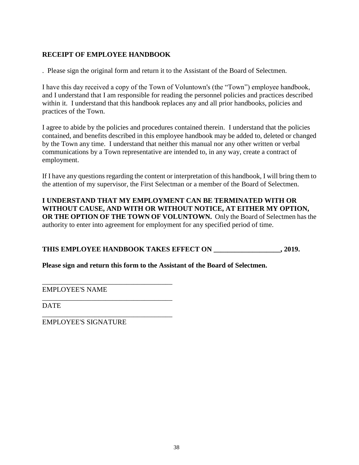## **RECEIPT OF EMPLOYEE HANDBOOK**

. Please sign the original form and return it to the Assistant of the Board of Selectmen.

I have this day received a copy of the Town of Voluntown's (the "Town") employee handbook, and I understand that I am responsible for reading the personnel policies and practices described within it. I understand that this handbook replaces any and all prior handbooks, policies and practices of the Town.

I agree to abide by the policies and procedures contained therein. I understand that the policies contained, and benefits described in this employee handbook may be added to, deleted or changed by the Town any time. I understand that neither this manual nor any other written or verbal communications by a Town representative are intended to, in any way, create a contract of employment.

If I have any questions regarding the content or interpretation of this handbook, I will bring them to the attention of my supervisor, the First Selectman or a member of the Board of Selectmen.

**I UNDERSTAND THAT MY EMPLOYMENT CAN BE TERMINATED WITH OR WITHOUT CAUSE, AND WITH OR WITHOUT NOTICE, AT EITHER MY OPTION, OR THE OPTION OF THE TOWN OF VOLUNTOWN.** Only the Board of Selectmen has the authority to enter into agreement for employment for any specified period of time.

## THIS EMPLOYEE HANDBOOK TAKES EFFECT ON  $, 2019.$

**Please sign and return this form to the Assistant of the Board of Selectmen.**

\_\_\_\_\_\_\_\_\_\_\_\_\_\_\_\_\_\_\_\_\_\_\_\_\_\_\_\_\_\_\_\_\_\_\_\_\_ EMPLOYEE'S NAME

DATE

EMPLOYEE'S SIGNATURE

\_\_\_\_\_\_\_\_\_\_\_\_\_\_\_\_\_\_\_\_\_\_\_\_\_\_\_\_\_\_\_\_\_\_\_\_\_

\_\_\_\_\_\_\_\_\_\_\_\_\_\_\_\_\_\_\_\_\_\_\_\_\_\_\_\_\_\_\_\_\_\_\_\_\_